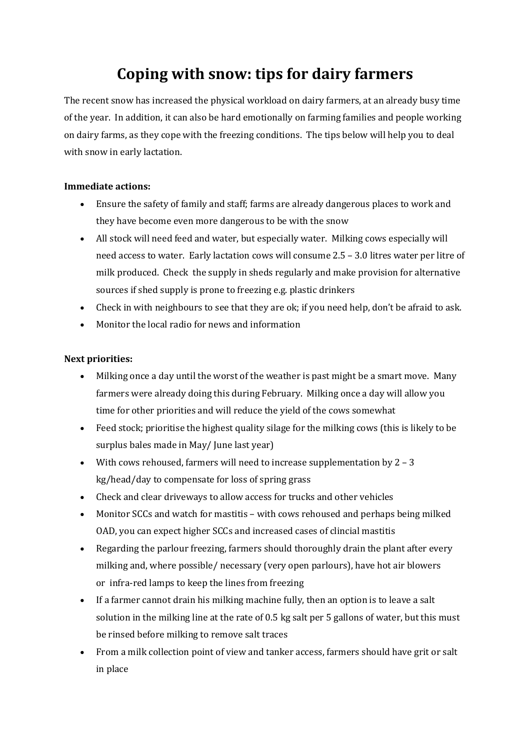# **Coping with snow: tips for dairy farmers**

The recent snow has increased the physical workload on dairy farmers, at an already busy time of the year. In addition, it can also be hard emotionally on farming families and people working on dairy farms, as they cope with the freezing conditions. The tips below will help you to deal with snow in early lactation.

#### **Immediate actions:**

- Ensure the safety of family and staff; farms are already dangerous places to work and they have become even more dangerous to be with the snow
- All stock will need feed and water, but especially water. Milking cows especially will need access to water. Early lactation cows will consume 2.5 – 3.0 litres water per litre of milk produced. Check the supply in sheds regularly and make provision for alternative sources if shed supply is prone to freezing e.g. plastic drinkers
- Check in with neighbours to see that they are ok; if you need help, don't be afraid to ask.
- Monitor the local radio for news and information

## **Next priorities:**

- Milking once a day until the worst of the weather is past might be a smart move. Many farmers were already doing this during February. Milking once a day will allow you time for other priorities and will reduce the yield of the cows somewhat
- Feed stock; prioritise the highest quality silage for the milking cows (this is likely to be surplus bales made in May/ June last year)
- With cows rehoused, farmers will need to increase supplementation by  $2 3$ kg/head/day to compensate for loss of spring grass
- Check and clear driveways to allow access for trucks and other vehicles
- Monitor SCCs and watch for mastitis with cows rehoused and perhaps being milked OAD, you can expect higher SCCs and increased cases of clincial mastitis
- Regarding the parlour freezing, farmers should thoroughly drain the plant after every milking and, where possible/ necessary (very open parlours), have hot air blowers or infra-red lamps to keep the lines from freezing
- If a farmer cannot drain his milking machine fully, then an option is to leave a salt solution in the milking line at the rate of 0.5 kg salt per 5 gallons of water, but this must be rinsed before milking to remove salt traces
- From a milk collection point of view and tanker access, farmers should have grit or salt in place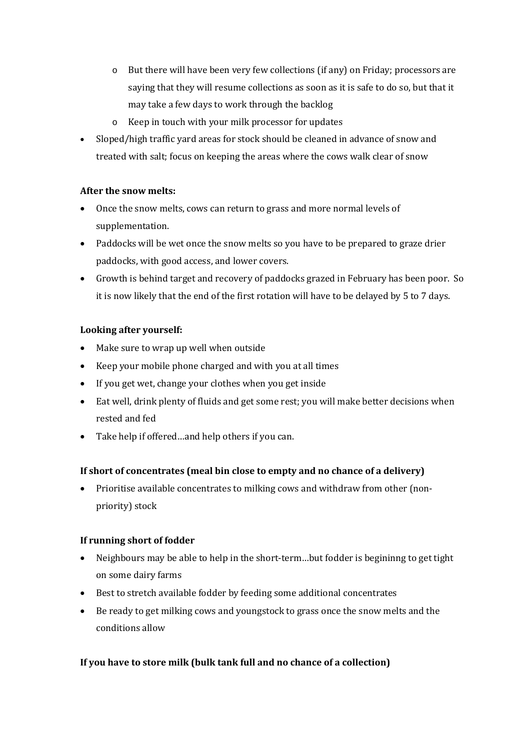- o But there will have been very few collections (if any) on Friday; processors are saying that they will resume collections as soon as it is safe to do so, but that it may take a few days to work through the backlog
- o Keep in touch with your milk processor for updates
- Sloped/high traffic yard areas for stock should be cleaned in advance of snow and treated with salt; focus on keeping the areas where the cows walk clear of snow

## **After the snow melts:**

- Once the snow melts, cows can return to grass and more normal levels of supplementation.
- Paddocks will be wet once the snow melts so you have to be prepared to graze drier paddocks, with good access, and lower covers.
- Growth is behind target and recovery of paddocks grazed in February has been poor. So it is now likely that the end of the first rotation will have to be delayed by 5 to 7 days.

### **Looking after yourself:**

- Make sure to wrap up well when outside
- Keep your mobile phone charged and with you at all times
- If you get wet, change your clothes when you get inside
- Eat well, drink plenty of fluids and get some rest; you will make better decisions when rested and fed
- Take help if offered…and help others if you can.

## **If short of concentrates (meal bin close to empty and no chance of a delivery)**

 Prioritise available concentrates to milking cows and withdraw from other (nonpriority) stock

## **If running short of fodder**

- Neighbours may be able to help in the short-term…but fodder is begininng to get tight on some dairy farms
- Best to stretch available fodder by feeding some additional concentrates
- Be ready to get milking cows and youngstock to grass once the snow melts and the conditions allow

## **If you have to store milk (bulk tank full and no chance of a collection)**